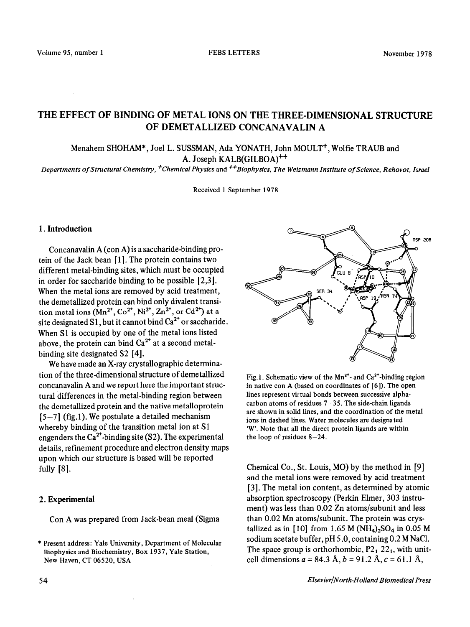# THE EFFECT OF BINDING OF METAL IONS ON THE THREE-DIMENSIONAL STRUCTURE OF DEMETALLIZED CONCANAVALIN A

## Menahem SHOHAM\*, Joel L. SUSSMAN, Ada YONATH, John MOULT<sup>+</sup>, Wolfie TRAUB and A. Joseph KALB(GILBOA)<sup>++</sup>

*Departments of Structural Chemistry, +ChemicaI Physics* and *\*Biophysics, The Weizmann Institute of Science, Rehovot, Israel* 

Received 1 September 1978

### 1. Introduction

Concanavalin A (con A) is a saccharide-binding protein of the Jack bean [1]. The protein contains two different metal-binding sites, which must be occupied in order for saccharide binding to be possible [2,3]. When the metal ions are removed by acid treatment, the demetallized protein can bind only divalent transition metal ions  $(Mn^{2^+}, Co^{2^+}, Ni^{2^+}, Zn^{2^+})$  or  $Cd^{2^+}$ ) at a site designated S1, but it cannot bind  $Ca<sup>2+</sup>$  or saccharide. When Sl is occupied by one of the metal ions listed above, the protein can bind  $Ca<sup>2+</sup>$  at a second metalbinding site designated S2 [4].

We have made an X-ray crystallographic determination of the three-dimensional structure of demetallized concanavalin A and we report here the important structural differences in the metal-binding region between the demetallized protein and the native metalloprotein  $[5-7]$  (fig.1). We postulate a detailed mechanism whereby binding of the transition metal ion at Sl engenders the  $Ca<sup>2+</sup>$ -binding site (S2). The experimental details, refinement procedure and electron density maps upon which our structure is based will be reported fully [8].

#### *2.* Experimental

Con A was prepared from Jack-bean meal (Sigma



Fig.1. Schematic view of the  $Mn^{2+}$ - and Ca<sup>2+</sup>-binding region in native con A (based on coordinates of [6]). The open lines represent virtual bonds between successive alphacarbon atoms of residues  $7-35$ . The side-chain ligands are shown in solid lines, and the coordination of the metal ions in dashed lines. Water molecules are designated 'W'. Note that all the direct protein ligands are within the loop of residues  $8-24$ .

Chemical Co., St. Louis, MO) by the method in [9] and the metal ions were removed by acid treatment [3]. The metal ion content, as determined by atomic absorption spectroscopy (Perkin Elmer, 303 instrument) was less than 0.02 Zn atoms/subunit and less than 0.02 Mn atoms/subunit. The protein was crystallized as in [10] from 1.65 M (NH<sub>4</sub>)<sub>2</sub>SO<sub>4</sub> in 0.05 M sodium acetate buffer, pH 5 .O, containing 0.2 M NaCl. The space group is orthorhombic,  $P2_1 22_1$ , with unitcell dimensions  $a = 84.3$  Å,  $b = 91.2$  Å,  $c = 61.1$  Å,

<sup>\*</sup> Present address: Yale University, Department of Molecular Biophysics and Biochemistry, Box 1937, Yale Station, New Haven, CT 06520, USA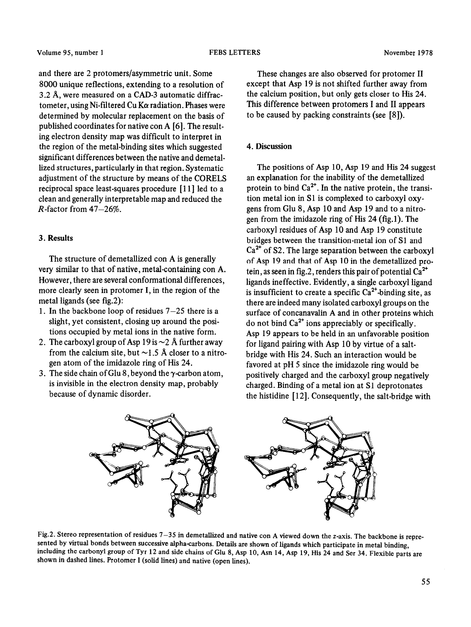and there are 2 protomers/asymmetric unit. Some 8000 unique reflections, extending to a resolution of 3.2 A, were measured on a CAD-3 automatic diffractometer, using Ni-filtered Cu K $\alpha$  radiation. Phases were determined by molecular replacement on the basis of published coordinates for native con A [6]. The resulting electron density map was difficult to interpret in the region of the metal-binding sites which suggested significant differences between the native and demetallized structures, particularly in that region. Systematic adjustment of the structure by means of the CORELS reciprocal space least-squares procedure [ 1 l] led to a clean and generally interpretable map and reduced the  $R$ -factor from 47 $-26\%$ .

## 3. Results

The structure of demetallized con A is generally very similar to that of native, metal-containing con A. However, there are several conformational differences, more clearly seen in protomer I, in the region of the metal ligands (see fig.2):

- 1. In the backbone loop of residues  $7-25$  there is a slight, yet consistent, closing up around the positions occupied by metal ions in the native form.
- 2. The carboxyl group of Asp 19 is  $\sim$  2 Å further away from the calcium site, but  $\sim$ 1.5 Å closer to a nitrogen atom of the imidazole ring of His 24.
- 3. The side chain of Glu 8, beyond the  $\gamma$ -carbon atom, is invisible in the electron density map, probably because of dynamic disorder.

These changes are also observed for protomer II except that Asp 19 is not shifted further away from the calcium position, but only gets closer to His 24. This difference between protomers I and II appears to be caused by packing constraints (see [S]).

#### 4. Discussion

The positions of Asp 10, Asp 19 and His 24 suggest an explanation for the inability of the demetallized protein to bind  $Ca<sup>2+</sup>$ . In the native protein, the transition metal ion in Sl is complexed to carboxyl oxygens from Glu 8, Asp 10 and Asp 19 and to a nitrogen from the imidazole ring of His 24 (fig.1). The carboxyl residues of Asp 10 and Asp 19 constitute bridges between the transition-metal ion of Sl and  $Ca<sup>2+</sup>$  of S2. The large separation between the carboxyl of Asp 19 and that of Asp 10 in the demetallized protein, as seen in fig.2, renders this pair of potential  $Ca^{2+}$ ligands ineffective. Evidently, a single carboxyl ligand is insufficient to create a specific  $Ca<sup>2+</sup>$ -binding site, as there are indeed many isolated carboxyl groups on the surface of concanavalin A and in other proteins which do not bind  $Ca<sup>2+</sup>$  ions appreciably or specifically. Asp 19 appears to be held in an unfavorable position for ligand pairing with Asp 10 by virtue of a saltbridge with His 24. Such an interaction would be favored at pH 5 since the imidazole ring would be positively charged and the carboxyl group negatively charged. Binding of a metal ion at Sl deprotonates the histidine [ 121. Consequently, the salt-bridge with



Fig.2. Stereo representation of residues 7-35 in demetallized and native con A viewed down the z-axis. The backbone is represented by virtual bonds between successive alpha-carbons. Details are shown of ligands which participate in metal binding, including the carbonyl group of Tyr 12 and side chains of Glu 8, Asp 10, Asn 14, Asp 19, His 24 and Ser 34. Flexible parts are shown in dashed lines. Protomer I (solid lines) and native (open lines).